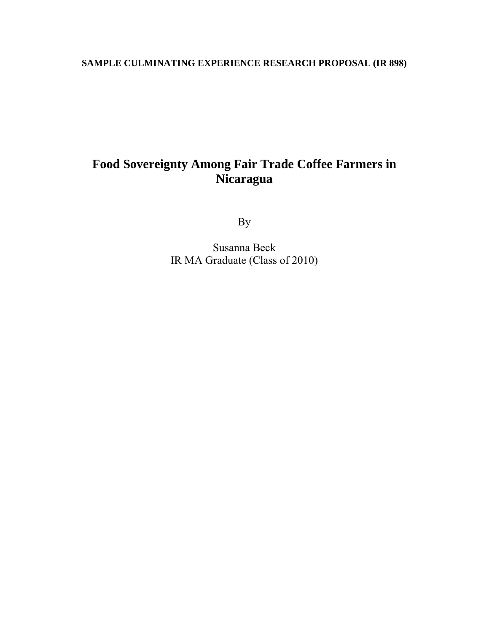# **SAMPLE CULMINATING EXPERIENCE RESEARCH PROPOSAL (IR 898)**

# **Food Sovereignty Among Fair Trade Coffee Farmers in Nicaragua**

By

Susanna Beck IR MA Graduate (Class of 2010)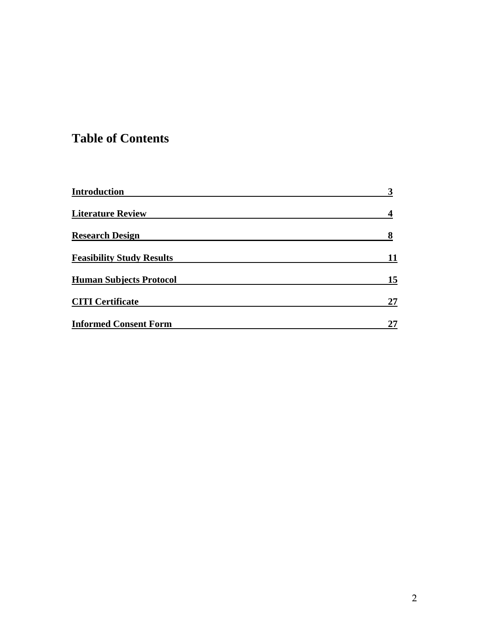# **Table of Contents**

| <b>Introduction</b>              |    |
|----------------------------------|----|
| <b>Literature Review</b>         |    |
| <b>Research Design</b>           | 8  |
| <b>Feasibility Study Results</b> |    |
| <b>Human Subjects Protocol</b>   | 15 |
| <b>CITI Certificate</b>          | 27 |
| <b>Informed Consent Form</b>     | 27 |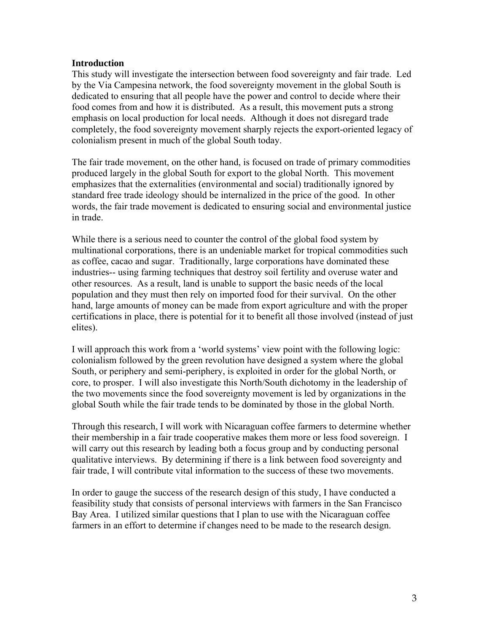#### **Introduction**

This study will investigate the intersection between food sovereignty and fair trade. Led by the Via Campesina network, the food sovereignty movement in the global South is dedicated to ensuring that all people have the power and control to decide where their food comes from and how it is distributed. As a result, this movement puts a strong emphasis on local production for local needs. Although it does not disregard trade completely, the food sovereignty movement sharply rejects the export-oriented legacy of colonialism present in much of the global South today.

The fair trade movement, on the other hand, is focused on trade of primary commodities produced largely in the global South for export to the global North. This movement emphasizes that the externalities (environmental and social) traditionally ignored by standard free trade ideology should be internalized in the price of the good. In other words, the fair trade movement is dedicated to ensuring social and environmental justice in trade.

While there is a serious need to counter the control of the global food system by multinational corporations, there is an undeniable market for tropical commodities such as coffee, cacao and sugar. Traditionally, large corporations have dominated these industries-- using farming techniques that destroy soil fertility and overuse water and other resources. As a result, land is unable to support the basic needs of the local population and they must then rely on imported food for their survival. On the other hand, large amounts of money can be made from export agriculture and with the proper certifications in place, there is potential for it to benefit all those involved (instead of just elites).

I will approach this work from a 'world systems' view point with the following logic: colonialism followed by the green revolution have designed a system where the global South, or periphery and semi-periphery, is exploited in order for the global North, or core, to prosper. I will also investigate this North/South dichotomy in the leadership of the two movements since the food sovereignty movement is led by organizations in the global South while the fair trade tends to be dominated by those in the global North.

Through this research, I will work with Nicaraguan coffee farmers to determine whether their membership in a fair trade cooperative makes them more or less food sovereign. I will carry out this research by leading both a focus group and by conducting personal qualitative interviews. By determining if there is a link between food sovereignty and fair trade, I will contribute vital information to the success of these two movements.

In order to gauge the success of the research design of this study, I have conducted a feasibility study that consists of personal interviews with farmers in the San Francisco Bay Area. I utilized similar questions that I plan to use with the Nicaraguan coffee farmers in an effort to determine if changes need to be made to the research design.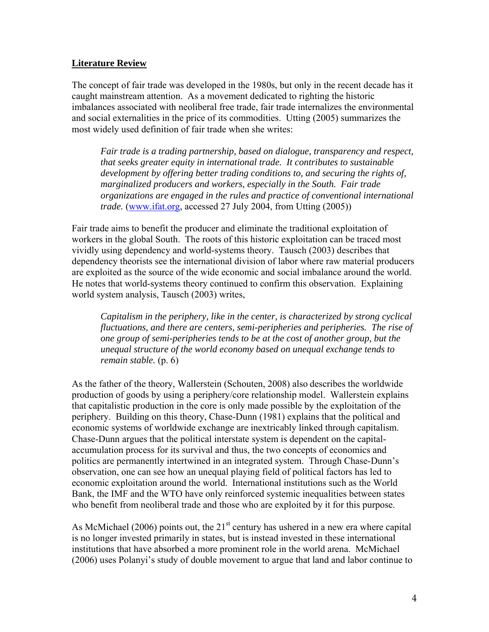### **Literature Review**

The concept of fair trade was developed in the 1980s, but only in the recent decade has it caught mainstream attention. As a movement dedicated to righting the historic imbalances associated with neoliberal free trade, fair trade internalizes the environmental and social externalities in the price of its commodities. Utting (2005) summarizes the most widely used definition of fair trade when she writes:

*Fair trade is a trading partnership, based on dialogue, transparency and respect, that seeks greater equity in international trade. It contributes to sustainable development by offering better trading conditions to, and securing the rights of, marginalized producers and workers, especially in the South. Fair trade organizations are engaged in the rules and practice of conventional international trade.* (www.ifat.org, accessed 27 July 2004, from Utting (2005))

Fair trade aims to benefit the producer and eliminate the traditional exploitation of workers in the global South. The roots of this historic exploitation can be traced most vividly using dependency and world-systems theory. Tausch (2003) describes that dependency theorists see the international division of labor where raw material producers are exploited as the source of the wide economic and social imbalance around the world. He notes that world-systems theory continued to confirm this observation. Explaining world system analysis, Tausch (2003) writes,

*Capitalism in the periphery, like in the center, is characterized by strong cyclical fluctuations, and there are centers, semi-peripheries and peripheries. The rise of one group of semi-peripheries tends to be at the cost of another group, but the unequal structure of the world economy based on unequal exchange tends to remain stable.* (p. 6)

As the father of the theory, Wallerstein (Schouten, 2008) also describes the worldwide production of goods by using a periphery/core relationship model. Wallerstein explains that capitalistic production in the core is only made possible by the exploitation of the periphery. Building on this theory, Chase-Dunn (1981) explains that the political and economic systems of worldwide exchange are inextricably linked through capitalism. Chase-Dunn argues that the political interstate system is dependent on the capitalaccumulation process for its survival and thus, the two concepts of economics and politics are permanently intertwined in an integrated system. Through Chase-Dunn's observation, one can see how an unequal playing field of political factors has led to economic exploitation around the world. International institutions such as the World Bank, the IMF and the WTO have only reinforced systemic inequalities between states who benefit from neoliberal trade and those who are exploited by it for this purpose.

As McMichael (2006) points out, the  $21<sup>st</sup>$  century has ushered in a new era where capital is no longer invested primarily in states, but is instead invested in these international institutions that have absorbed a more prominent role in the world arena. McMichael (2006) uses Polanyi's study of double movement to argue that land and labor continue to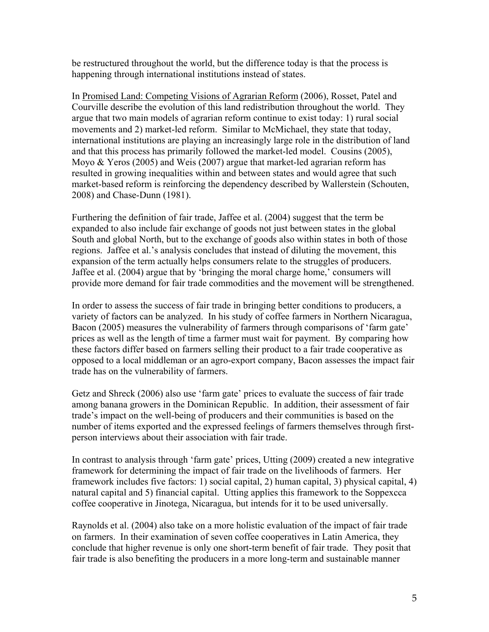be restructured throughout the world, but the difference today is that the process is happening through international institutions instead of states.

In Promised Land: Competing Visions of Agrarian Reform (2006), Rosset, Patel and Courville describe the evolution of this land redistribution throughout the world. They argue that two main models of agrarian reform continue to exist today: 1) rural social movements and 2) market-led reform. Similar to McMichael, they state that today, international institutions are playing an increasingly large role in the distribution of land and that this process has primarily followed the market-led model. Cousins (2005), Moyo & Yeros (2005) and Weis (2007) argue that market-led agrarian reform has resulted in growing inequalities within and between states and would agree that such market-based reform is reinforcing the dependency described by Wallerstein (Schouten, 2008) and Chase-Dunn (1981).

Furthering the definition of fair trade, Jaffee et al. (2004) suggest that the term be expanded to also include fair exchange of goods not just between states in the global South and global North, but to the exchange of goods also within states in both of those regions. Jaffee et al.'s analysis concludes that instead of diluting the movement, this expansion of the term actually helps consumers relate to the struggles of producers. Jaffee et al. (2004) argue that by 'bringing the moral charge home,' consumers will provide more demand for fair trade commodities and the movement will be strengthened.

In order to assess the success of fair trade in bringing better conditions to producers, a variety of factors can be analyzed. In his study of coffee farmers in Northern Nicaragua, Bacon (2005) measures the vulnerability of farmers through comparisons of 'farm gate' prices as well as the length of time a farmer must wait for payment. By comparing how these factors differ based on farmers selling their product to a fair trade cooperative as opposed to a local middleman or an agro-export company, Bacon assesses the impact fair trade has on the vulnerability of farmers.

Getz and Shreck (2006) also use 'farm gate' prices to evaluate the success of fair trade among banana growers in the Dominican Republic. In addition, their assessment of fair trade's impact on the well-being of producers and their communities is based on the number of items exported and the expressed feelings of farmers themselves through firstperson interviews about their association with fair trade.

In contrast to analysis through 'farm gate' prices, Utting (2009) created a new integrative framework for determining the impact of fair trade on the livelihoods of farmers. Her framework includes five factors: 1) social capital, 2) human capital, 3) physical capital, 4) natural capital and 5) financial capital. Utting applies this framework to the Soppexcca coffee cooperative in Jinotega, Nicaragua, but intends for it to be used universally.

Raynolds et al. (2004) also take on a more holistic evaluation of the impact of fair trade on farmers. In their examination of seven coffee cooperatives in Latin America, they conclude that higher revenue is only one short-term benefit of fair trade. They posit that fair trade is also benefiting the producers in a more long-term and sustainable manner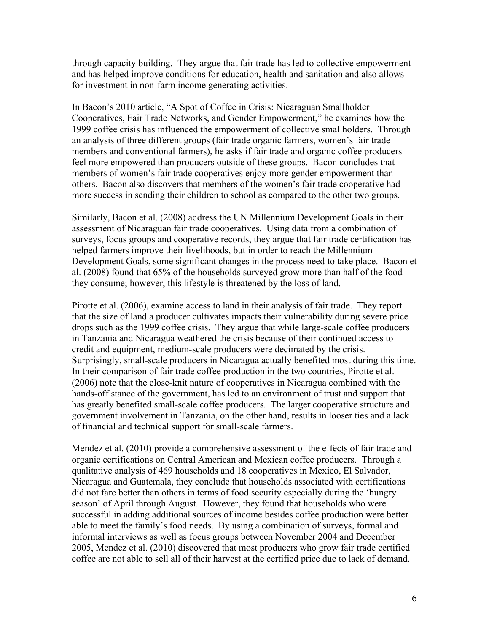through capacity building. They argue that fair trade has led to collective empowerment and has helped improve conditions for education, health and sanitation and also allows for investment in non-farm income generating activities.

In Bacon's 2010 article, "A Spot of Coffee in Crisis: Nicaraguan Smallholder Cooperatives, Fair Trade Networks, and Gender Empowerment," he examines how the 1999 coffee crisis has influenced the empowerment of collective smallholders. Through an analysis of three different groups (fair trade organic farmers, women's fair trade members and conventional farmers), he asks if fair trade and organic coffee producers feel more empowered than producers outside of these groups. Bacon concludes that members of women's fair trade cooperatives enjoy more gender empowerment than others. Bacon also discovers that members of the women's fair trade cooperative had more success in sending their children to school as compared to the other two groups.

Similarly, Bacon et al. (2008) address the UN Millennium Development Goals in their assessment of Nicaraguan fair trade cooperatives. Using data from a combination of surveys, focus groups and cooperative records, they argue that fair trade certification has helped farmers improve their livelihoods, but in order to reach the Millennium Development Goals, some significant changes in the process need to take place. Bacon et al. (2008) found that 65% of the households surveyed grow more than half of the food they consume; however, this lifestyle is threatened by the loss of land.

Pirotte et al. (2006), examine access to land in their analysis of fair trade. They report that the size of land a producer cultivates impacts their vulnerability during severe price drops such as the 1999 coffee crisis. They argue that while large-scale coffee producers in Tanzania and Nicaragua weathered the crisis because of their continued access to credit and equipment, medium-scale producers were decimated by the crisis. Surprisingly, small-scale producers in Nicaragua actually benefited most during this time. In their comparison of fair trade coffee production in the two countries, Pirotte et al. (2006) note that the close-knit nature of cooperatives in Nicaragua combined with the hands-off stance of the government, has led to an environment of trust and support that has greatly benefited small-scale coffee producers. The larger cooperative structure and government involvement in Tanzania, on the other hand, results in looser ties and a lack of financial and technical support for small-scale farmers.

Mendez et al. (2010) provide a comprehensive assessment of the effects of fair trade and organic certifications on Central American and Mexican coffee producers. Through a qualitative analysis of 469 households and 18 cooperatives in Mexico, El Salvador, Nicaragua and Guatemala, they conclude that households associated with certifications did not fare better than others in terms of food security especially during the 'hungry season' of April through August. However, they found that households who were successful in adding additional sources of income besides coffee production were better able to meet the family's food needs. By using a combination of surveys, formal and informal interviews as well as focus groups between November 2004 and December 2005, Mendez et al. (2010) discovered that most producers who grow fair trade certified coffee are not able to sell all of their harvest at the certified price due to lack of demand.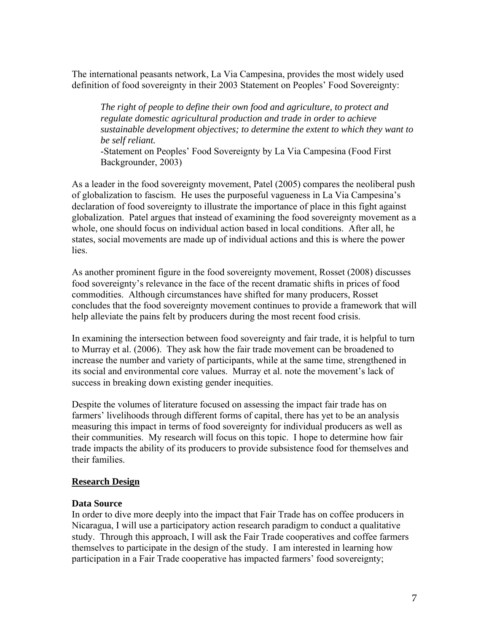The international peasants network, La Via Campesina, provides the most widely used definition of food sovereignty in their 2003 Statement on Peoples' Food Sovereignty:

*The right of people to define their own food and agriculture, to protect and regulate domestic agricultural production and trade in order to achieve sustainable development objectives; to determine the extent to which they want to be self reliant.* 

-Statement on Peoples' Food Sovereignty by La Via Campesina (Food First Backgrounder, 2003)

As a leader in the food sovereignty movement, Patel (2005) compares the neoliberal push of globalization to fascism. He uses the purposeful vagueness in La Via Campesina's declaration of food sovereignty to illustrate the importance of place in this fight against globalization. Patel argues that instead of examining the food sovereignty movement as a whole, one should focus on individual action based in local conditions. After all, he states, social movements are made up of individual actions and this is where the power lies.

As another prominent figure in the food sovereignty movement, Rosset (2008) discusses food sovereignty's relevance in the face of the recent dramatic shifts in prices of food commodities. Although circumstances have shifted for many producers, Rosset concludes that the food sovereignty movement continues to provide a framework that will help alleviate the pains felt by producers during the most recent food crisis.

In examining the intersection between food sovereignty and fair trade, it is helpful to turn to Murray et al. (2006). They ask how the fair trade movement can be broadened to increase the number and variety of participants, while at the same time, strengthened in its social and environmental core values. Murray et al. note the movement's lack of success in breaking down existing gender inequities.

Despite the volumes of literature focused on assessing the impact fair trade has on farmers' livelihoods through different forms of capital, there has yet to be an analysis measuring this impact in terms of food sovereignty for individual producers as well as their communities. My research will focus on this topic. I hope to determine how fair trade impacts the ability of its producers to provide subsistence food for themselves and their families.

#### **Research Design**

#### **Data Source**

In order to dive more deeply into the impact that Fair Trade has on coffee producers in Nicaragua, I will use a participatory action research paradigm to conduct a qualitative study. Through this approach, I will ask the Fair Trade cooperatives and coffee farmers themselves to participate in the design of the study. I am interested in learning how participation in a Fair Trade cooperative has impacted farmers' food sovereignty;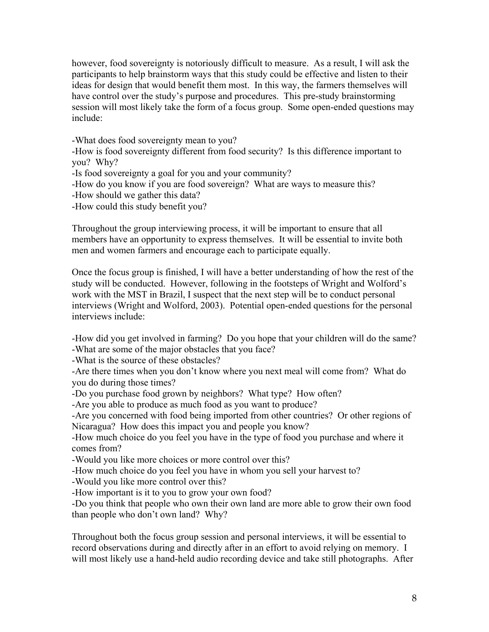however, food sovereignty is notoriously difficult to measure. As a result, I will ask the participants to help brainstorm ways that this study could be effective and listen to their ideas for design that would benefit them most. In this way, the farmers themselves will have control over the study's purpose and procedures. This pre-study brainstorming session will most likely take the form of a focus group. Some open-ended questions may include:

-What does food sovereignty mean to you?

-How is food sovereignty different from food security? Is this difference important to you? Why?

-Is food sovereignty a goal for you and your community?

-How do you know if you are food sovereign? What are ways to measure this?

-How should we gather this data?

-How could this study benefit you?

Throughout the group interviewing process, it will be important to ensure that all members have an opportunity to express themselves. It will be essential to invite both men and women farmers and encourage each to participate equally.

Once the focus group is finished, I will have a better understanding of how the rest of the study will be conducted. However, following in the footsteps of Wright and Wolford's work with the MST in Brazil, I suspect that the next step will be to conduct personal interviews (Wright and Wolford, 2003). Potential open-ended questions for the personal interviews include:

-How did you get involved in farming? Do you hope that your children will do the same? -What are some of the major obstacles that you face?

-What is the source of these obstacles?

-Are there times when you don't know where you next meal will come from? What do you do during those times?

-Do you purchase food grown by neighbors? What type? How often?

-Are you able to produce as much food as you want to produce?

-Are you concerned with food being imported from other countries? Or other regions of Nicaragua? How does this impact you and people you know?

-How much choice do you feel you have in the type of food you purchase and where it comes from?

-Would you like more choices or more control over this?

-How much choice do you feel you have in whom you sell your harvest to?

-Would you like more control over this?

-How important is it to you to grow your own food?

-Do you think that people who own their own land are more able to grow their own food than people who don't own land? Why?

Throughout both the focus group session and personal interviews, it will be essential to record observations during and directly after in an effort to avoid relying on memory. I will most likely use a hand-held audio recording device and take still photographs. After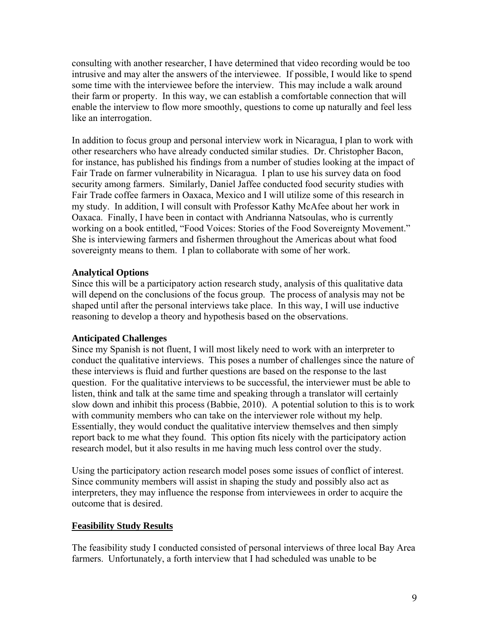consulting with another researcher, I have determined that video recording would be too intrusive and may alter the answers of the interviewee. If possible, I would like to spend some time with the interviewee before the interview. This may include a walk around their farm or property. In this way, we can establish a comfortable connection that will enable the interview to flow more smoothly, questions to come up naturally and feel less like an interrogation.

In addition to focus group and personal interview work in Nicaragua, I plan to work with other researchers who have already conducted similar studies. Dr. Christopher Bacon, for instance, has published his findings from a number of studies looking at the impact of Fair Trade on farmer vulnerability in Nicaragua. I plan to use his survey data on food security among farmers. Similarly, Daniel Jaffee conducted food security studies with Fair Trade coffee farmers in Oaxaca, Mexico and I will utilize some of this research in my study. In addition, I will consult with Professor Kathy McAfee about her work in Oaxaca. Finally, I have been in contact with Andrianna Natsoulas, who is currently working on a book entitled, "Food Voices: Stories of the Food Sovereignty Movement." She is interviewing farmers and fishermen throughout the Americas about what food sovereignty means to them. I plan to collaborate with some of her work.

# **Analytical Options**

Since this will be a participatory action research study, analysis of this qualitative data will depend on the conclusions of the focus group. The process of analysis may not be shaped until after the personal interviews take place. In this way, I will use inductive reasoning to develop a theory and hypothesis based on the observations.

#### **Anticipated Challenges**

Since my Spanish is not fluent, I will most likely need to work with an interpreter to conduct the qualitative interviews. This poses a number of challenges since the nature of these interviews is fluid and further questions are based on the response to the last question. For the qualitative interviews to be successful, the interviewer must be able to listen, think and talk at the same time and speaking through a translator will certainly slow down and inhibit this process (Babbie, 2010). A potential solution to this is to work with community members who can take on the interviewer role without my help. Essentially, they would conduct the qualitative interview themselves and then simply report back to me what they found. This option fits nicely with the participatory action research model, but it also results in me having much less control over the study.

Using the participatory action research model poses some issues of conflict of interest. Since community members will assist in shaping the study and possibly also act as interpreters, they may influence the response from interviewees in order to acquire the outcome that is desired.

#### **Feasibility Study Results**

The feasibility study I conducted consisted of personal interviews of three local Bay Area farmers. Unfortunately, a forth interview that I had scheduled was unable to be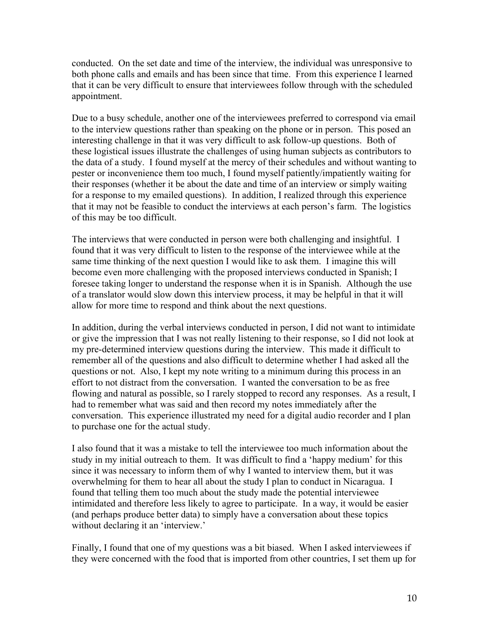conducted. On the set date and time of the interview, the individual was unresponsive to both phone calls and emails and has been since that time. From this experience I learned that it can be very difficult to ensure that interviewees follow through with the scheduled appointment.

Due to a busy schedule, another one of the interviewees preferred to correspond via email to the interview questions rather than speaking on the phone or in person. This posed an interesting challenge in that it was very difficult to ask follow-up questions. Both of these logistical issues illustrate the challenges of using human subjects as contributors to the data of a study. I found myself at the mercy of their schedules and without wanting to pester or inconvenience them too much, I found myself patiently/impatiently waiting for their responses (whether it be about the date and time of an interview or simply waiting for a response to my emailed questions). In addition, I realized through this experience that it may not be feasible to conduct the interviews at each person's farm. The logistics of this may be too difficult.

The interviews that were conducted in person were both challenging and insightful. I found that it was very difficult to listen to the response of the interviewee while at the same time thinking of the next question I would like to ask them. I imagine this will become even more challenging with the proposed interviews conducted in Spanish; I foresee taking longer to understand the response when it is in Spanish. Although the use of a translator would slow down this interview process, it may be helpful in that it will allow for more time to respond and think about the next questions.

In addition, during the verbal interviews conducted in person, I did not want to intimidate or give the impression that I was not really listening to their response, so I did not look at my pre-determined interview questions during the interview. This made it difficult to remember all of the questions and also difficult to determine whether I had asked all the questions or not. Also, I kept my note writing to a minimum during this process in an effort to not distract from the conversation. I wanted the conversation to be as free flowing and natural as possible, so I rarely stopped to record any responses. As a result, I had to remember what was said and then record my notes immediately after the conversation. This experience illustrated my need for a digital audio recorder and I plan to purchase one for the actual study.

I also found that it was a mistake to tell the interviewee too much information about the study in my initial outreach to them. It was difficult to find a 'happy medium' for this since it was necessary to inform them of why I wanted to interview them, but it was overwhelming for them to hear all about the study I plan to conduct in Nicaragua. I found that telling them too much about the study made the potential interviewee intimidated and therefore less likely to agree to participate. In a way, it would be easier (and perhaps produce better data) to simply have a conversation about these topics without declaring it an 'interview.'

Finally, I found that one of my questions was a bit biased. When I asked interviewees if they were concerned with the food that is imported from other countries, I set them up for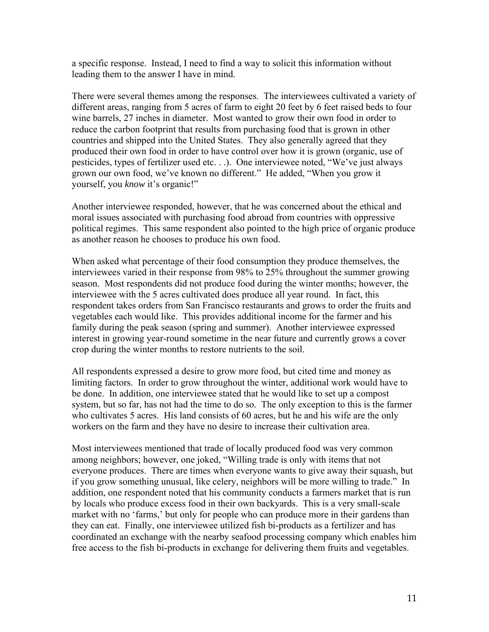a specific response. Instead, I need to find a way to solicit this information without leading them to the answer I have in mind.

There were several themes among the responses. The interviewees cultivated a variety of different areas, ranging from 5 acres of farm to eight 20 feet by 6 feet raised beds to four wine barrels, 27 inches in diameter. Most wanted to grow their own food in order to reduce the carbon footprint that results from purchasing food that is grown in other countries and shipped into the United States. They also generally agreed that they produced their own food in order to have control over how it is grown (organic, use of pesticides, types of fertilizer used etc. . .). One interviewee noted, "We've just always grown our own food, we've known no different." He added, "When you grow it yourself, you *know* it's organic!"

Another interviewee responded, however, that he was concerned about the ethical and moral issues associated with purchasing food abroad from countries with oppressive political regimes. This same respondent also pointed to the high price of organic produce as another reason he chooses to produce his own food.

When asked what percentage of their food consumption they produce themselves, the interviewees varied in their response from 98% to 25% throughout the summer growing season. Most respondents did not produce food during the winter months; however, the interviewee with the 5 acres cultivated does produce all year round. In fact, this respondent takes orders from San Francisco restaurants and grows to order the fruits and vegetables each would like. This provides additional income for the farmer and his family during the peak season (spring and summer). Another interviewee expressed interest in growing year-round sometime in the near future and currently grows a cover crop during the winter months to restore nutrients to the soil.

All respondents expressed a desire to grow more food, but cited time and money as limiting factors. In order to grow throughout the winter, additional work would have to be done. In addition, one interviewee stated that he would like to set up a compost system, but so far, has not had the time to do so. The only exception to this is the farmer who cultivates 5 acres. His land consists of 60 acres, but he and his wife are the only workers on the farm and they have no desire to increase their cultivation area.

Most interviewees mentioned that trade of locally produced food was very common among neighbors; however, one joked, "Willing trade is only with items that not everyone produces. There are times when everyone wants to give away their squash, but if you grow something unusual, like celery, neighbors will be more willing to trade." In addition, one respondent noted that his community conducts a farmers market that is run by locals who produce excess food in their own backyards. This is a very small-scale market with no 'farms,' but only for people who can produce more in their gardens than they can eat. Finally, one interviewee utilized fish bi-products as a fertilizer and has coordinated an exchange with the nearby seafood processing company which enables him free access to the fish bi-products in exchange for delivering them fruits and vegetables.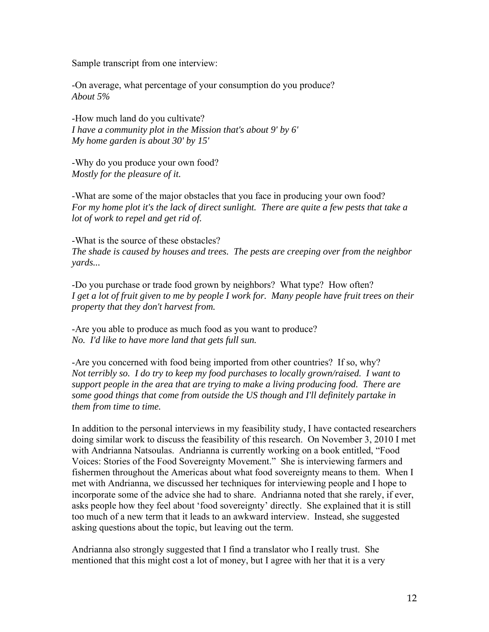Sample transcript from one interview:

-On average, what percentage of your consumption do you produce? *About 5%* 

-How much land do you cultivate? *I have a community plot in the Mission that's about 9' by 6' My home garden is about 30' by 15'* 

-Why do you produce your own food? *Mostly for the pleasure of it.* 

-What are some of the major obstacles that you face in producing your own food? *For my home plot it's the lack of direct sunlight. There are quite a few pests that take a lot of work to repel and get rid of.* 

-What is the source of these obstacles? *The shade is caused by houses and trees. The pests are creeping over from the neighbor yards...* 

-Do you purchase or trade food grown by neighbors? What type? How often? *I get a lot of fruit given to me by people I work for. Many people have fruit trees on their property that they don't harvest from.* 

-Are you able to produce as much food as you want to produce? *No. I'd like to have more land that gets full sun.* 

-Are you concerned with food being imported from other countries? If so, why? *Not terribly so. I do try to keep my food purchases to locally grown/raised. I want to support people in the area that are trying to make a living producing food. There are some good things that come from outside the US though and I'll definitely partake in them from time to time.* 

In addition to the personal interviews in my feasibility study, I have contacted researchers doing similar work to discuss the feasibility of this research. On November 3, 2010 I met with Andrianna Natsoulas. Andrianna is currently working on a book entitled, "Food Voices: Stories of the Food Sovereignty Movement." She is interviewing farmers and fishermen throughout the Americas about what food sovereignty means to them. When I met with Andrianna, we discussed her techniques for interviewing people and I hope to incorporate some of the advice she had to share. Andrianna noted that she rarely, if ever, asks people how they feel about 'food sovereignty' directly. She explained that it is still too much of a new term that it leads to an awkward interview. Instead, she suggested asking questions about the topic, but leaving out the term.

Andrianna also strongly suggested that I find a translator who I really trust. She mentioned that this might cost a lot of money, but I agree with her that it is a very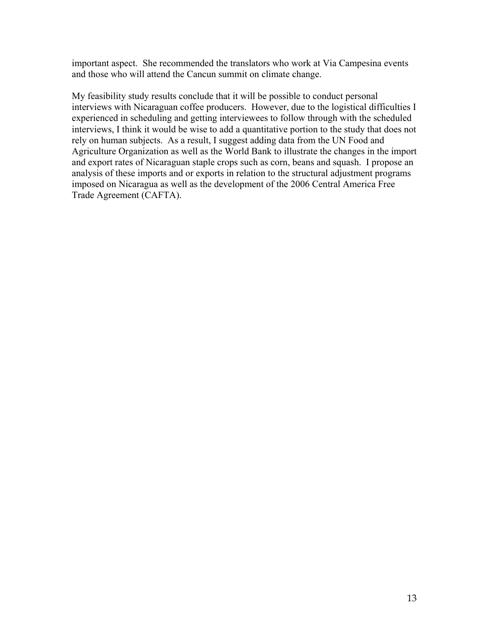important aspect. She recommended the translators who work at Via Campesina events and those who will attend the Cancun summit on climate change.

My feasibility study results conclude that it will be possible to conduct personal interviews with Nicaraguan coffee producers. However, due to the logistical difficulties I experienced in scheduling and getting interviewees to follow through with the scheduled interviews, I think it would be wise to add a quantitative portion to the study that does not rely on human subjects. As a result, I suggest adding data from the UN Food and Agriculture Organization as well as the World Bank to illustrate the changes in the import and export rates of Nicaraguan staple crops such as corn, beans and squash. I propose an analysis of these imports and or exports in relation to the structural adjustment programs imposed on Nicaragua as well as the development of the 2006 Central America Free Trade Agreement (CAFTA).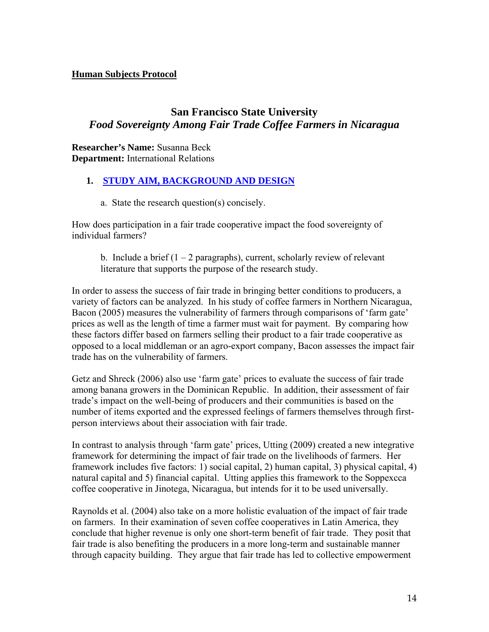## **Human Subjects Protocol**

# **San Francisco State University**  *Food Sovereignty Among Fair Trade Coffee Farmers in Nicaragua*

**Researcher's Name:** Susanna Beck **Department:** International Relations

# **1. STUDY AIM, BACKGROUND AND DESIGN**

a. State the research question(s) concisely.

How does participation in a fair trade cooperative impact the food sovereignty of individual farmers?

b. Include a brief  $(1 – 2$  paragraphs), current, scholarly review of relevant literature that supports the purpose of the research study.

In order to assess the success of fair trade in bringing better conditions to producers, a variety of factors can be analyzed. In his study of coffee farmers in Northern Nicaragua, Bacon (2005) measures the vulnerability of farmers through comparisons of 'farm gate' prices as well as the length of time a farmer must wait for payment. By comparing how these factors differ based on farmers selling their product to a fair trade cooperative as opposed to a local middleman or an agro-export company, Bacon assesses the impact fair trade has on the vulnerability of farmers.

Getz and Shreck (2006) also use 'farm gate' prices to evaluate the success of fair trade among banana growers in the Dominican Republic. In addition, their assessment of fair trade's impact on the well-being of producers and their communities is based on the number of items exported and the expressed feelings of farmers themselves through firstperson interviews about their association with fair trade.

In contrast to analysis through 'farm gate' prices, Utting (2009) created a new integrative framework for determining the impact of fair trade on the livelihoods of farmers. Her framework includes five factors: 1) social capital, 2) human capital, 3) physical capital, 4) natural capital and 5) financial capital. Utting applies this framework to the Soppexcca coffee cooperative in Jinotega, Nicaragua, but intends for it to be used universally.

Raynolds et al. (2004) also take on a more holistic evaluation of the impact of fair trade on farmers. In their examination of seven coffee cooperatives in Latin America, they conclude that higher revenue is only one short-term benefit of fair trade. They posit that fair trade is also benefiting the producers in a more long-term and sustainable manner through capacity building. They argue that fair trade has led to collective empowerment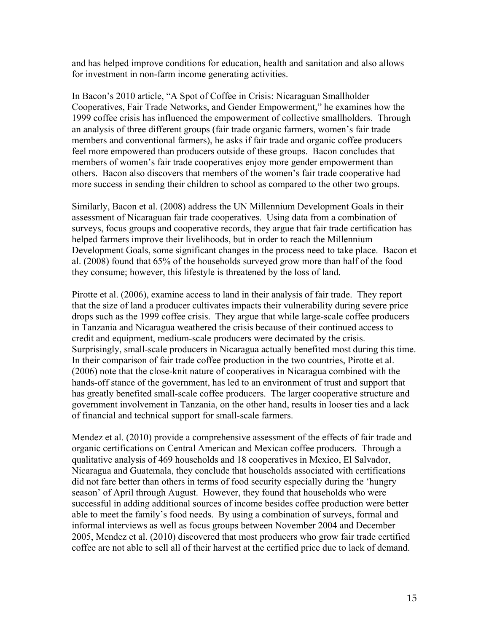and has helped improve conditions for education, health and sanitation and also allows for investment in non-farm income generating activities.

In Bacon's 2010 article, "A Spot of Coffee in Crisis: Nicaraguan Smallholder Cooperatives, Fair Trade Networks, and Gender Empowerment," he examines how the 1999 coffee crisis has influenced the empowerment of collective smallholders. Through an analysis of three different groups (fair trade organic farmers, women's fair trade members and conventional farmers), he asks if fair trade and organic coffee producers feel more empowered than producers outside of these groups. Bacon concludes that members of women's fair trade cooperatives enjoy more gender empowerment than others. Bacon also discovers that members of the women's fair trade cooperative had more success in sending their children to school as compared to the other two groups.

Similarly, Bacon et al. (2008) address the UN Millennium Development Goals in their assessment of Nicaraguan fair trade cooperatives. Using data from a combination of surveys, focus groups and cooperative records, they argue that fair trade certification has helped farmers improve their livelihoods, but in order to reach the Millennium Development Goals, some significant changes in the process need to take place. Bacon et al. (2008) found that 65% of the households surveyed grow more than half of the food they consume; however, this lifestyle is threatened by the loss of land.

Pirotte et al. (2006), examine access to land in their analysis of fair trade. They report that the size of land a producer cultivates impacts their vulnerability during severe price drops such as the 1999 coffee crisis. They argue that while large-scale coffee producers in Tanzania and Nicaragua weathered the crisis because of their continued access to credit and equipment, medium-scale producers were decimated by the crisis. Surprisingly, small-scale producers in Nicaragua actually benefited most during this time. In their comparison of fair trade coffee production in the two countries, Pirotte et al. (2006) note that the close-knit nature of cooperatives in Nicaragua combined with the hands-off stance of the government, has led to an environment of trust and support that has greatly benefited small-scale coffee producers. The larger cooperative structure and government involvement in Tanzania, on the other hand, results in looser ties and a lack of financial and technical support for small-scale farmers.

Mendez et al. (2010) provide a comprehensive assessment of the effects of fair trade and organic certifications on Central American and Mexican coffee producers. Through a qualitative analysis of 469 households and 18 cooperatives in Mexico, El Salvador, Nicaragua and Guatemala, they conclude that households associated with certifications did not fare better than others in terms of food security especially during the 'hungry season' of April through August. However, they found that households who were successful in adding additional sources of income besides coffee production were better able to meet the family's food needs. By using a combination of surveys, formal and informal interviews as well as focus groups between November 2004 and December 2005, Mendez et al. (2010) discovered that most producers who grow fair trade certified coffee are not able to sell all of their harvest at the certified price due to lack of demand.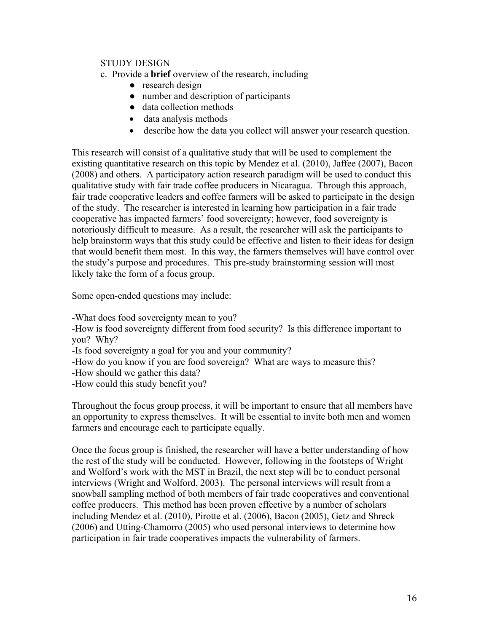# STUDY DESIGN

- c. Provide a **brief** overview of the research, including
	- research design
	- number and description of participants
	- data collection methods
	- data analysis methods
	- describe how the data you collect will answer your research question.

This research will consist of a qualitative study that will be used to complement the existing quantitative research on this topic by Mendez et al. (2010), Jaffee (2007), Bacon (2008) and others. A participatory action research paradigm will be used to conduct this qualitative study with fair trade coffee producers in Nicaragua. Through this approach, fair trade cooperative leaders and coffee farmers will be asked to participate in the design of the study. The researcher is interested in learning how participation in a fair trade cooperative has impacted farmers' food sovereignty; however, food sovereignty is notoriously difficult to measure. As a result, the researcher will ask the participants to help brainstorm ways that this study could be effective and listen to their ideas for design that would benefit them most. In this way, the farmers themselves will have control over the study's purpose and procedures. This pre-study brainstorming session will most likely take the form of a focus group.

Some open-ended questions may include:

-What does food sovereignty mean to you?

-How is food sovereignty different from food security? Is this difference important to you? Why?

-Is food sovereignty a goal for you and your community?

-How do you know if you are food sovereign? What are ways to measure this?

-How should we gather this data?

-How could this study benefit you?

Throughout the focus group process, it will be important to ensure that all members have an opportunity to express themselves. It will be essential to invite both men and women farmers and encourage each to participate equally.

Once the focus group is finished, the researcher will have a better understanding of how the rest of the study will be conducted. However, following in the footsteps of Wright and Wolford's work with the MST in Brazil, the next step will be to conduct personal interviews (Wright and Wolford, 2003). The personal interviews will result from a snowball sampling method of both members of fair trade cooperatives and conventional coffee producers. This method has been proven effective by a number of scholars including Mendez et al. (2010), Pirotte et al. (2006), Bacon (2005), Getz and Shreck (2006) and Utting-Chamorro (2005) who used personal interviews to determine how participation in fair trade cooperatives impacts the vulnerability of farmers.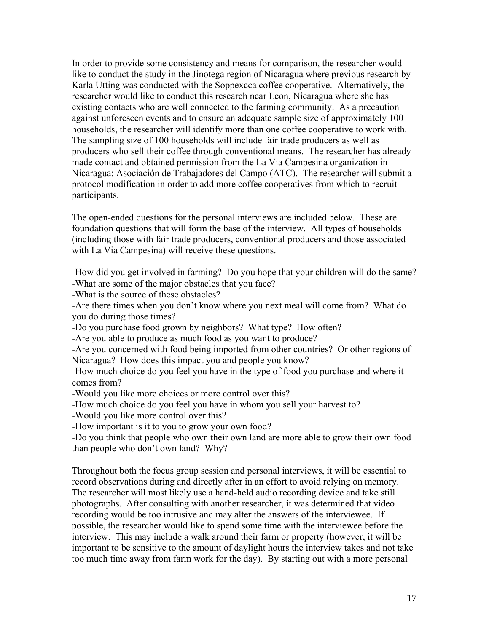In order to provide some consistency and means for comparison, the researcher would like to conduct the study in the Jinotega region of Nicaragua where previous research by Karla Utting was conducted with the Soppexcca coffee cooperative. Alternatively, the researcher would like to conduct this research near Leon, Nicaragua where she has existing contacts who are well connected to the farming community. As a precaution against unforeseen events and to ensure an adequate sample size of approximately 100 households, the researcher will identify more than one coffee cooperative to work with. The sampling size of 100 households will include fair trade producers as well as producers who sell their coffee through conventional means. The researcher has already made contact and obtained permission from the La Via Campesina organization in Nicaragua: Asociación de Trabajadores del Campo (ATC). The researcher will submit a protocol modification in order to add more coffee cooperatives from which to recruit participants.

The open-ended questions for the personal interviews are included below. These are foundation questions that will form the base of the interview. All types of households (including those with fair trade producers, conventional producers and those associated with La Via Campesina) will receive these questions.

-How did you get involved in farming? Do you hope that your children will do the same? -What are some of the major obstacles that you face?

-What is the source of these obstacles?

-Are there times when you don't know where you next meal will come from? What do you do during those times?

-Do you purchase food grown by neighbors? What type? How often?

-Are you able to produce as much food as you want to produce?

-Are you concerned with food being imported from other countries? Or other regions of Nicaragua? How does this impact you and people you know?

-How much choice do you feel you have in the type of food you purchase and where it comes from?

-Would you like more choices or more control over this?

-How much choice do you feel you have in whom you sell your harvest to?

-Would you like more control over this?

-How important is it to you to grow your own food?

-Do you think that people who own their own land are more able to grow their own food than people who don't own land? Why?

Throughout both the focus group session and personal interviews, it will be essential to record observations during and directly after in an effort to avoid relying on memory. The researcher will most likely use a hand-held audio recording device and take still photographs. After consulting with another researcher, it was determined that video recording would be too intrusive and may alter the answers of the interviewee. If possible, the researcher would like to spend some time with the interviewee before the interview. This may include a walk around their farm or property (however, it will be important to be sensitive to the amount of daylight hours the interview takes and not take too much time away from farm work for the day). By starting out with a more personal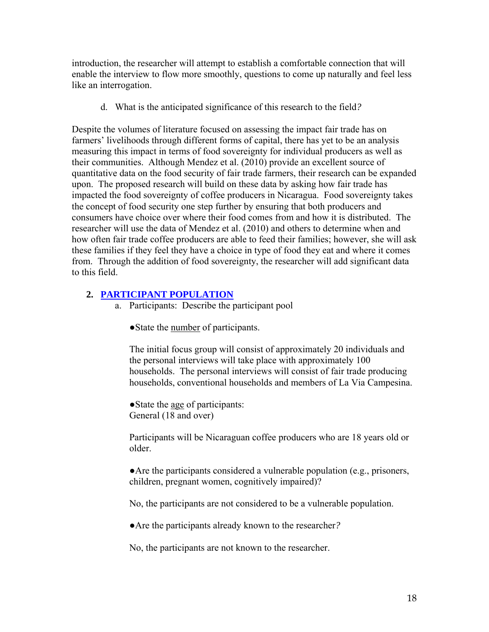introduction, the researcher will attempt to establish a comfortable connection that will enable the interview to flow more smoothly, questions to come up naturally and feel less like an interrogation.

d. What is the anticipated significance of this research to the field*?* 

Despite the volumes of literature focused on assessing the impact fair trade has on farmers' livelihoods through different forms of capital, there has yet to be an analysis measuring this impact in terms of food sovereignty for individual producers as well as their communities. Although Mendez et al. (2010) provide an excellent source of quantitative data on the food security of fair trade farmers, their research can be expanded upon. The proposed research will build on these data by asking how fair trade has impacted the food sovereignty of coffee producers in Nicaragua. Food sovereignty takes the concept of food security one step further by ensuring that both producers and consumers have choice over where their food comes from and how it is distributed. The researcher will use the data of Mendez et al. (2010) and others to determine when and how often fair trade coffee producers are able to feed their families; however, she will ask these families if they feel they have a choice in type of food they eat and where it comes from. Through the addition of food sovereignty, the researcher will add significant data to this field.

# **2. PARTICIPANT POPULATION**

- a. Participants: Describe the participant pool
	- ●State the number of participants.

The initial focus group will consist of approximately 20 individuals and the personal interviews will take place with approximately 100 households. The personal interviews will consist of fair trade producing households, conventional households and members of La Via Campesina.

●State the age of participants: General (18 and over)

Participants will be Nicaraguan coffee producers who are 18 years old or older.

●Are the participants considered a vulnerable population (e.g., prisoners, children, pregnant women, cognitively impaired)?

No, the participants are not considered to be a vulnerable population.

●Are the participants already known to the researcher*?* 

No, the participants are not known to the researcher.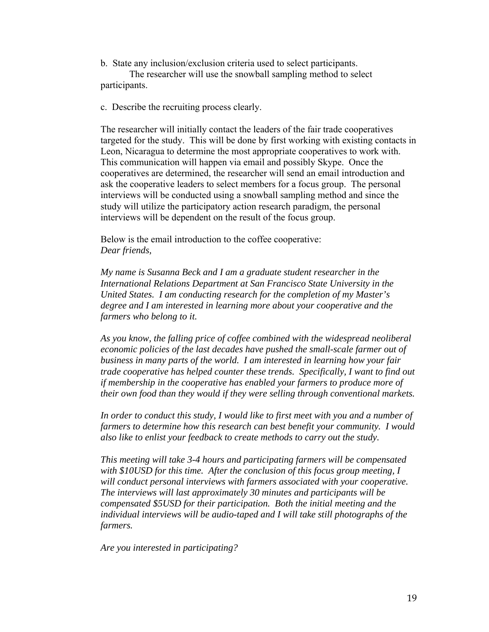b. State any inclusion/exclusion criteria used to select participants. The researcher will use the snowball sampling method to select participants.

c. Describe the recruiting process clearly.

The researcher will initially contact the leaders of the fair trade cooperatives targeted for the study. This will be done by first working with existing contacts in Leon, Nicaragua to determine the most appropriate cooperatives to work with. This communication will happen via email and possibly Skype. Once the cooperatives are determined, the researcher will send an email introduction and ask the cooperative leaders to select members for a focus group. The personal interviews will be conducted using a snowball sampling method and since the study will utilize the participatory action research paradigm, the personal interviews will be dependent on the result of the focus group.

Below is the email introduction to the coffee cooperative: *Dear friends,* 

*My name is Susanna Beck and I am a graduate student researcher in the International Relations Department at San Francisco State University in the United States. I am conducting research for the completion of my Master's degree and I am interested in learning more about your cooperative and the farmers who belong to it.* 

*As you know, the falling price of coffee combined with the widespread neoliberal economic policies of the last decades have pushed the small-scale farmer out of business in many parts of the world. I am interested in learning how your fair trade cooperative has helped counter these trends. Specifically, I want to find out if membership in the cooperative has enabled your farmers to produce more of their own food than they would if they were selling through conventional markets.* 

*In order to conduct this study, I would like to first meet with you and a number of farmers to determine how this research can best benefit your community. I would also like to enlist your feedback to create methods to carry out the study.* 

*This meeting will take 3-4 hours and participating farmers will be compensated with \$10USD for this time. After the conclusion of this focus group meeting, I will conduct personal interviews with farmers associated with your cooperative. The interviews will last approximately 30 minutes and participants will be compensated \$5USD for their participation. Both the initial meeting and the individual interviews will be audio-taped and I will take still photographs of the farmers.* 

*Are you interested in participating?*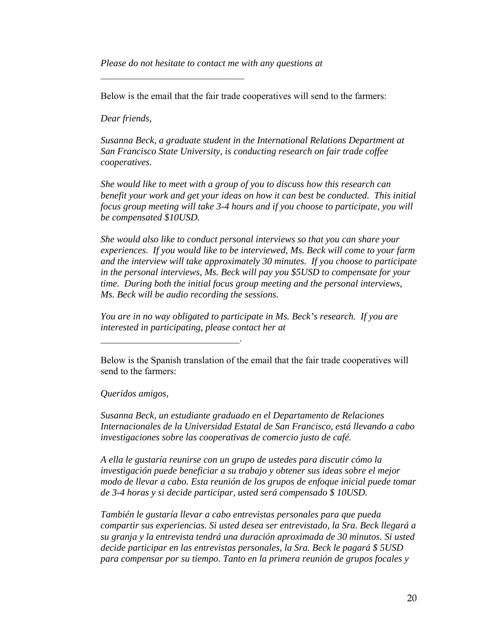*Please do not hesitate to contact me with any questions at* 

 $\overline{\phantom{a}}$  , where  $\overline{\phantom{a}}$  , where  $\overline{\phantom{a}}$  , where  $\overline{\phantom{a}}$ 

Below is the email that the fair trade cooperatives will send to the farmers:

*Dear friends,* 

*Susanna Beck, a graduate student in the International Relations Department at San Francisco State University, is conducting research on fair trade coffee cooperatives.* 

*She would like to meet with a group of you to discuss how this research can benefit your work and get your ideas on how it can best be conducted. This initial focus group meeting will take 3-4 hours and if you choose to participate, you will be compensated \$10USD.* 

*She would also like to conduct personal interviews so that you can share your experiences. If you would like to be interviewed, Ms. Beck will come to your farm and the interview will take approximately 30 minutes. If you choose to participate in the personal interviews, Ms. Beck will pay you \$5USD to compensate for your time. During both the initial focus group meeting and the personal interviews, Ms. Beck will be audio recording the sessions.* 

*You are in no way obligated to participate in Ms. Beck's research. If you are interested in participating, please contact her at* 

Below is the Spanish translation of the email that the fair trade cooperatives will send to the farmers:

*Queridos amigos,* 

 $\mathcal{L}_\text{max}$  , and the set of the set of the set of the set of the set of the set of the set of the set of the set of the set of the set of the set of the set of the set of the set of the set of the set of the set of the

*Susanna Beck, un estudiante graduado en el Departamento de Relaciones Internacionales de la Universidad Estatal de San Francisco, está llevando a cabo investigaciones sobre las cooperativas de comercio justo de café.* 

*A ella le gustaría reunirse con un grupo de ustedes para discutir cómo la investigación puede beneficiar a su trabajo y obtener sus ideas sobre el mejor modo de llevar a cabo. Esta reunión de los grupos de enfoque inicial puede tomar de 3-4 horas y si decide participar, usted será compensado \$ 10USD.* 

*También le gustaría llevar a cabo entrevistas personales para que pueda compartir sus experiencias. Si usted desea ser entrevistado, la Sra. Beck llegará a su granja y la entrevista tendrá una duración aproximada de 30 minutos. Si usted decide participar en las entrevistas personales, la Sra. Beck le pagará \$ 5USD para compensar por su tiempo. Tanto en la primera reunión de grupos focales y*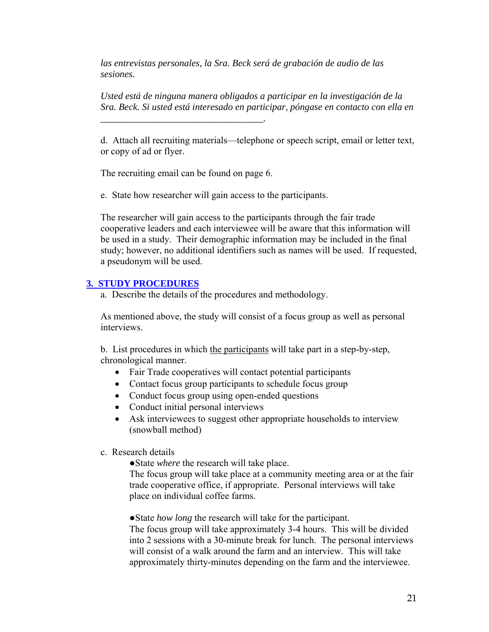*las entrevistas personales, la Sra. Beck será de grabación de audio de las sesiones.*

*Usted está de ninguna manera obligados a participar en la investigación de la Sra. Beck. Si usted está interesado en participar, póngase en contacto con ella en* 

d. Attach all recruiting materials—telephone or speech script, email or letter text, or copy of ad or flyer.

The recruiting email can be found on page 6.

*\_\_\_\_\_\_\_\_\_\_\_\_\_\_\_\_\_\_\_\_\_\_\_\_\_\_\_\_\_\_\_\_\_\_.* 

e. State how researcher will gain access to the participants.

The researcher will gain access to the participants through the fair trade cooperative leaders and each interviewee will be aware that this information will be used in a study. Their demographic information may be included in the final study; however, no additional identifiers such as names will be used. If requested, a pseudonym will be used.

#### **3. STUDY PROCEDURES**

a. Describe the details of the procedures and methodology.

As mentioned above, the study will consist of a focus group as well as personal interviews.

b. List procedures in which the participants will take part in a step-by-step, chronological manner.

- Fair Trade cooperatives will contact potential participants
- Contact focus group participants to schedule focus group
- Conduct focus group using open-ended questions
- Conduct initial personal interviews
- Ask interviewees to suggest other appropriate households to interview (snowball method)
- c. Research details

●State *where* the research will take place.

The focus group will take place at a community meeting area or at the fair trade cooperative office, if appropriate. Personal interviews will take place on individual coffee farms.

●State *how long* the research will take for the participant. The focus group will take approximately 3-4 hours. This will be divided into 2 sessions with a 30-minute break for lunch. The personal interviews will consist of a walk around the farm and an interview. This will take approximately thirty-minutes depending on the farm and the interviewee.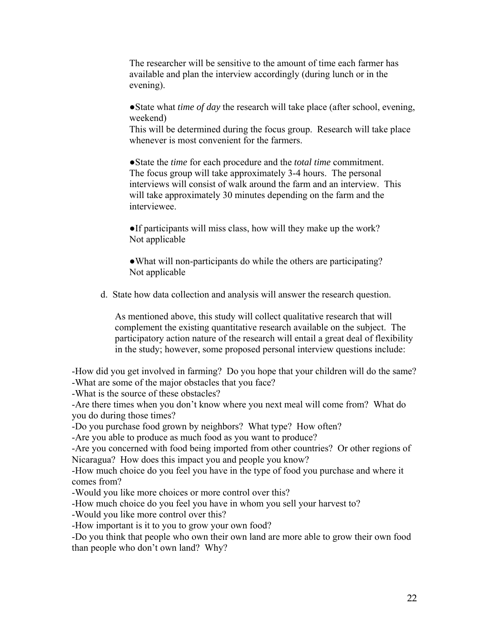The researcher will be sensitive to the amount of time each farmer has available and plan the interview accordingly (during lunch or in the evening).

●State what *time of day* the research will take place (after school, evening, weekend)

This will be determined during the focus group. Research will take place whenever is most convenient for the farmers.

●State the *time* for each procedure and the *total time* commitment. The focus group will take approximately 3-4 hours. The personal interviews will consist of walk around the farm and an interview. This will take approximately 30 minutes depending on the farm and the interviewee.

●If participants will miss class, how will they make up the work? Not applicable

• What will non-participants do while the others are participating? Not applicable

d. State how data collection and analysis will answer the research question.

As mentioned above, this study will collect qualitative research that will complement the existing quantitative research available on the subject. The participatory action nature of the research will entail a great deal of flexibility in the study; however, some proposed personal interview questions include:

-How did you get involved in farming? Do you hope that your children will do the same? -What are some of the major obstacles that you face?

-What is the source of these obstacles?

-Are there times when you don't know where you next meal will come from? What do you do during those times?

-Do you purchase food grown by neighbors? What type? How often?

-Are you able to produce as much food as you want to produce?

-Are you concerned with food being imported from other countries? Or other regions of Nicaragua? How does this impact you and people you know?

-How much choice do you feel you have in the type of food you purchase and where it comes from?

-Would you like more choices or more control over this?

-How much choice do you feel you have in whom you sell your harvest to?

-Would you like more control over this?

-How important is it to you to grow your own food?

-Do you think that people who own their own land are more able to grow their own food than people who don't own land? Why?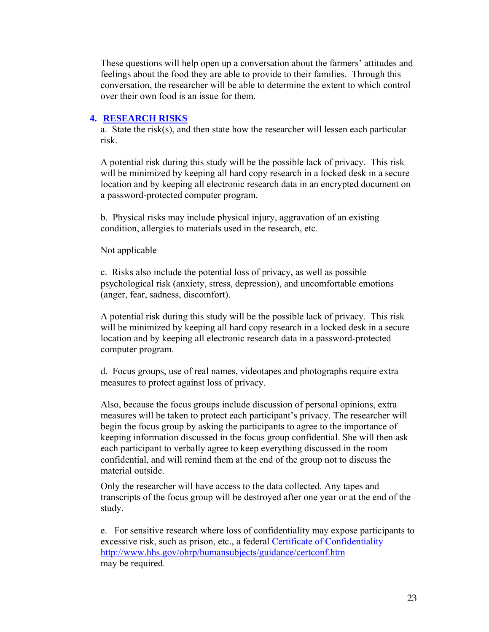These questions will help open up a conversation about the farmers' attitudes and feelings about the food they are able to provide to their families. Through this conversation, the researcher will be able to determine the extent to which control over their own food is an issue for them.

#### **4. RESEARCH RISKS**

a. State the risk(s), and then state how the researcher will lessen each particular risk.

A potential risk during this study will be the possible lack of privacy. This risk will be minimized by keeping all hard copy research in a locked desk in a secure location and by keeping all electronic research data in an encrypted document on a password-protected computer program.

b. Physical risks may include physical injury, aggravation of an existing condition, allergies to materials used in the research, etc.

#### Not applicable

c. Risks also include the potential loss of privacy, as well as possible psychological risk (anxiety, stress, depression), and uncomfortable emotions (anger, fear, sadness, discomfort).

A potential risk during this study will be the possible lack of privacy. This risk will be minimized by keeping all hard copy research in a locked desk in a secure location and by keeping all electronic research data in a password-protected computer program.

d. Focus groups, use of real names, videotapes and photographs require extra measures to protect against loss of privacy.

Also, because the focus groups include discussion of personal opinions, extra measures will be taken to protect each participant's privacy. The researcher will begin the focus group by asking the participants to agree to the importance of keeping information discussed in the focus group confidential. She will then ask each participant to verbally agree to keep everything discussed in the room confidential, and will remind them at the end of the group not to discuss the material outside.

Only the researcher will have access to the data collected. Any tapes and transcripts of the focus group will be destroyed after one year or at the end of the study.

e. For sensitive research where loss of confidentiality may expose participants to excessive risk, such as prison, etc., a federal Certificate of Confidentiality http://www.hhs.gov/ohrp/humansubjects/guidance/certconf.htm may be required.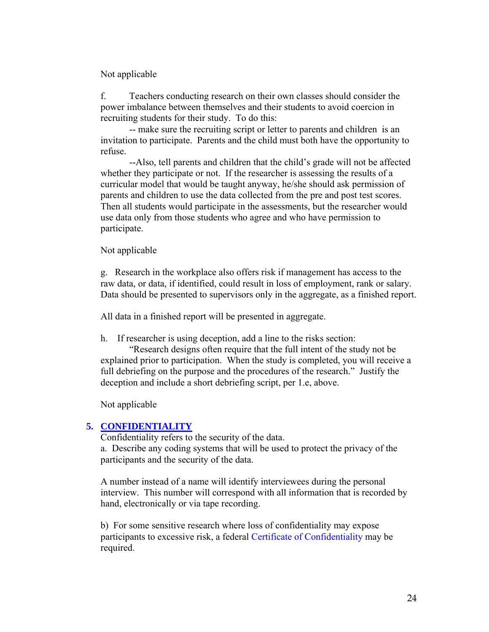#### Not applicable

f. Teachers conducting research on their own classes should consider the power imbalance between themselves and their students to avoid coercion in recruiting students for their study. To do this:

-- make sure the recruiting script or letter to parents and children is an invitation to participate. Parents and the child must both have the opportunity to refuse.

--Also, tell parents and children that the child's grade will not be affected whether they participate or not. If the researcher is assessing the results of a curricular model that would be taught anyway, he/she should ask permission of parents and children to use the data collected from the pre and post test scores. Then all students would participate in the assessments, but the researcher would use data only from those students who agree and who have permission to participate.

#### Not applicable

g. Research in the workplace also offers risk if management has access to the raw data, or data, if identified, could result in loss of employment, rank or salary. Data should be presented to supervisors only in the aggregate, as a finished report.

All data in a finished report will be presented in aggregate.

h. If researcher is using deception, add a line to the risks section:

"Research designs often require that the full intent of the study not be explained prior to participation. When the study is completed, you will receive a full debriefing on the purpose and the procedures of the research." Justify the deception and include a short debriefing script, per 1.e, above.

Not applicable

#### **5. CONFIDENTIALITY**

Confidentiality refers to the security of the data. a. Describe any coding systems that will be used to protect the privacy of the participants and the security of the data.

A number instead of a name will identify interviewees during the personal interview. This number will correspond with all information that is recorded by hand, electronically or via tape recording.

b) For some sensitive research where loss of confidentiality may expose participants to excessive risk, a federal Certificate of Confidentiality may be required.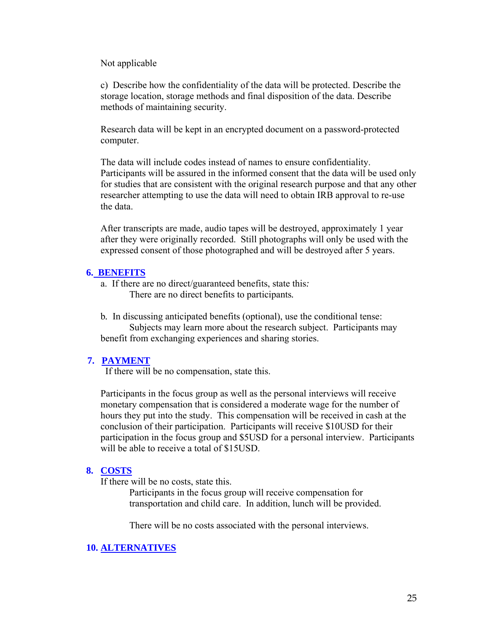#### Not applicable

c) Describe how the confidentiality of the data will be protected. Describe the storage location, storage methods and final disposition of the data. Describe methods of maintaining security.

Research data will be kept in an encrypted document on a password-protected computer.

The data will include codes instead of names to ensure confidentiality. Participants will be assured in the informed consent that the data will be used only for studies that are consistent with the original research purpose and that any other researcher attempting to use the data will need to obtain IRB approval to re-use the data.

After transcripts are made, audio tapes will be destroyed, approximately 1 year after they were originally recorded. Still photographs will only be used with the expressed consent of those photographed and will be destroyed after 5 years.

#### **6. BENEFITS**

a. If there are no direct/guaranteed benefits, state this*:*  There are no direct benefits to participants*.* 

b*.* In discussing anticipated benefits (optional), use the conditional tense: Subjects may learn more about the research subject. Participants may benefit from exchanging experiences and sharing stories.

#### **7. PAYMENT**

If there will be no compensation, state this.

Participants in the focus group as well as the personal interviews will receive monetary compensation that is considered a moderate wage for the number of hours they put into the study. This compensation will be received in cash at the conclusion of their participation. Participants will receive \$10USD for their participation in the focus group and \$5USD for a personal interview. Participants will be able to receive a total of \$15USD.

#### **8. COSTS**

If there will be no costs, state this.

Participants in the focus group will receive compensation for transportation and child care. In addition, lunch will be provided.

There will be no costs associated with the personal interviews.

# **10. ALTERNATIVES**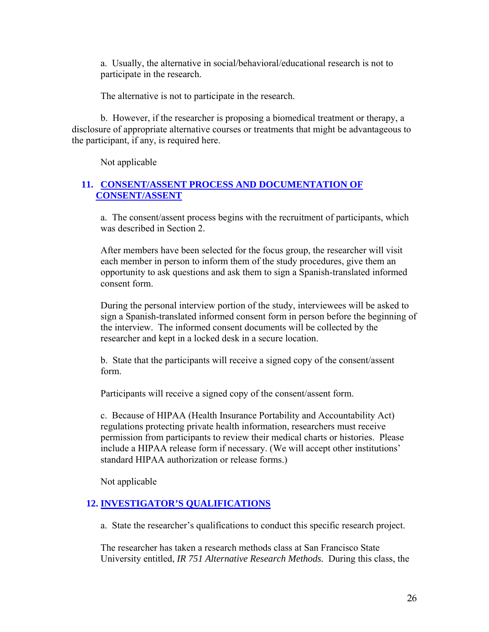a. Usually, the alternative in social/behavioral/educational research is not to participate in the research.

The alternative is not to participate in the research.

b. However, if the researcher is proposing a biomedical treatment or therapy, a disclosure of appropriate alternative courses or treatments that might be advantageous to the participant, if any, is required here.

Not applicable

# **11. CONSENT/ASSENT PROCESS AND DOCUMENTATION OF CONSENT/ASSENT**

a. The consent/assent process begins with the recruitment of participants, which was described in Section 2.

After members have been selected for the focus group, the researcher will visit each member in person to inform them of the study procedures, give them an opportunity to ask questions and ask them to sign a Spanish-translated informed consent form.

During the personal interview portion of the study, interviewees will be asked to sign a Spanish-translated informed consent form in person before the beginning of the interview. The informed consent documents will be collected by the researcher and kept in a locked desk in a secure location.

b. State that the participants will receive a signed copy of the consent/assent form.

Participants will receive a signed copy of the consent/assent form.

c. Because of HIPAA (Health Insurance Portability and Accountability Act) regulations protecting private health information, researchers must receive permission from participants to review their medical charts or histories. Please include a HIPAA release form if necessary. (We will accept other institutions' standard HIPAA authorization or release forms.)

Not applicable

# **12. INVESTIGATOR'S QUALIFICATIONS**

a. State the researcher's qualifications to conduct this specific research project.

The researcher has taken a research methods class at San Francisco State University entitled, *IR 751 Alternative Research Methods.* During this class, the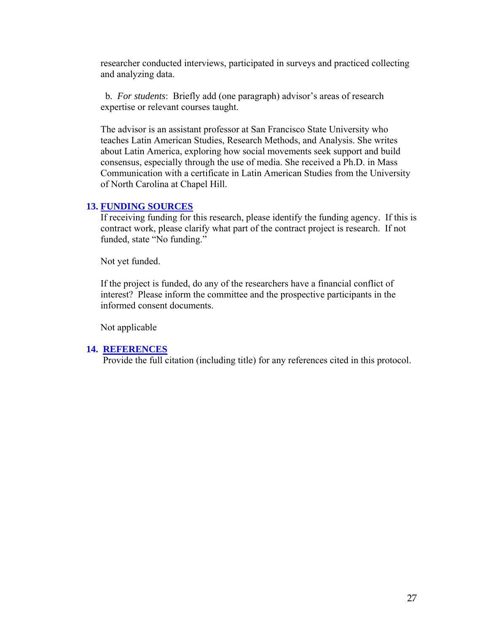researcher conducted interviews, participated in surveys and practiced collecting and analyzing data.

b*. For students*: Briefly add (one paragraph) advisor's areas of research expertise or relevant courses taught.

The advisor is an assistant professor at San Francisco State University who teaches Latin American Studies, Research Methods, and Analysis. She writes about Latin America, exploring how social movements seek support and build consensus, especially through the use of media. She received a Ph.D. in Mass Communication with a certificate in Latin American Studies from the University of North Carolina at Chapel Hill.

#### **13. FUNDING SOURCES**

If receiving funding for this research, please identify the funding agency. If this is contract work, please clarify what part of the contract project is research. If not funded, state "No funding."

Not yet funded.

If the project is funded, do any of the researchers have a financial conflict of interest? Please inform the committee and the prospective participants in the informed consent documents.

Not applicable

# **14. REFERENCES**

Provide the full citation (including title) for any references cited in this protocol.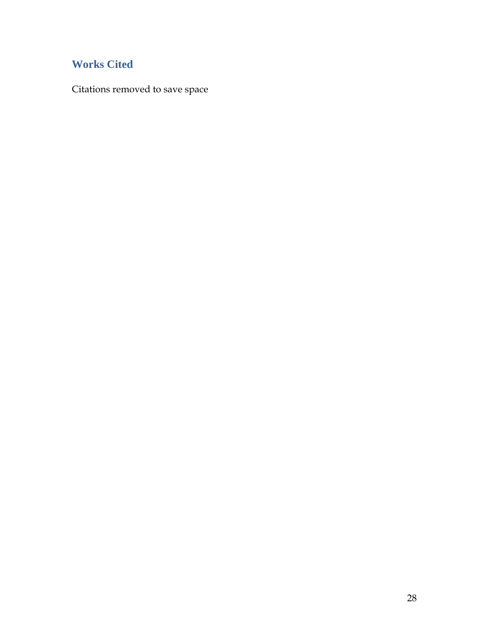# **Works Cited**

Citations removed to save space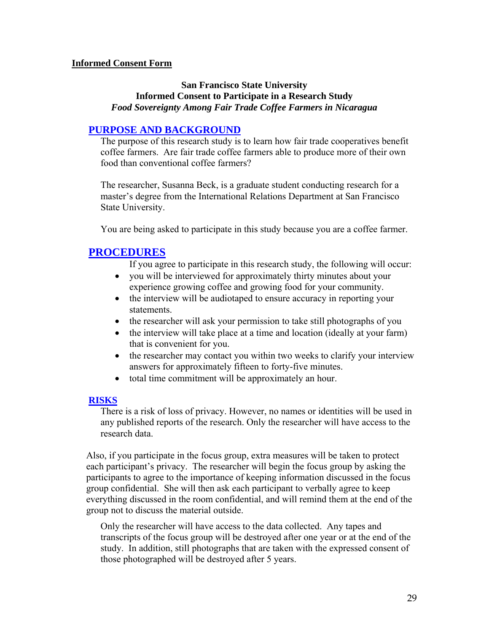#### **Informed Consent Form**

# **San Francisco State University Informed Consent to Participate in a Research Study**  *Food Sovereignty Among Fair Trade Coffee Farmers in Nicaragua*

## **PURPOSE AND BACKGROUND**

The purpose of this research study is to learn how fair trade cooperatives benefit coffee farmers. Are fair trade coffee farmers able to produce more of their own food than conventional coffee farmers?

The researcher, Susanna Beck, is a graduate student conducting research for a master's degree from the International Relations Department at San Francisco State University.

You are being asked to participate in this study because you are a coffee farmer.

# **PROCEDURES**

If you agree to participate in this research study, the following will occur:

- you will be interviewed for approximately thirty minutes about your experience growing coffee and growing food for your community.
- the interview will be audiotaped to ensure accuracy in reporting your statements.
- the researcher will ask your permission to take still photographs of you
- the interview will take place at a time and location (ideally at your farm) that is convenient for you.
- the researcher may contact you within two weeks to clarify your interview answers for approximately fifteen to forty-five minutes.
- total time commitment will be approximately an hour.

#### **RISKS**

There is a risk of loss of privacy. However, no names or identities will be used in any published reports of the research. Only the researcher will have access to the research data.

Also, if you participate in the focus group, extra measures will be taken to protect each participant's privacy. The researcher will begin the focus group by asking the participants to agree to the importance of keeping information discussed in the focus group confidential. She will then ask each participant to verbally agree to keep everything discussed in the room confidential, and will remind them at the end of the group not to discuss the material outside.

Only the researcher will have access to the data collected. Any tapes and transcripts of the focus group will be destroyed after one year or at the end of the study. In addition, still photographs that are taken with the expressed consent of those photographed will be destroyed after 5 years.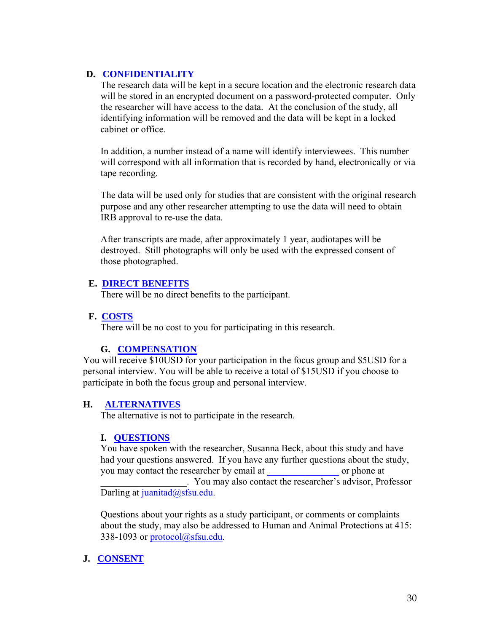# **D. CONFIDENTIALITY**

The research data will be kept in a secure location and the electronic research data will be stored in an encrypted document on a password-protected computer. Only the researcher will have access to the data. At the conclusion of the study, all identifying information will be removed and the data will be kept in a locked cabinet or office.

In addition, a number instead of a name will identify interviewees. This number will correspond with all information that is recorded by hand, electronically or via tape recording.

The data will be used only for studies that are consistent with the original research purpose and any other researcher attempting to use the data will need to obtain IRB approval to re-use the data.

After transcripts are made, after approximately 1 year, audiotapes will be destroyed. Still photographs will only be used with the expressed consent of those photographed.

# **E. DIRECT BENEFITS**

There will be no direct benefits to the participant.

# **F. COSTS**

There will be no cost to you for participating in this research.

# **G. COMPENSATION**

You will receive \$10USD for your participation in the focus group and \$5USD for a personal interview. You will be able to receive a total of \$15USD if you choose to participate in both the focus group and personal interview.

# **H. ALTERNATIVES**

The alternative is not to participate in the research.

# **I. QUESTIONS**

You have spoken with the researcher, Susanna Beck, about this study and have had your questions answered. If you have any further questions about the study, you may contact the researcher by email at or phone at \_\_\_\_\_\_\_\_\_\_\_\_\_\_\_\_\_\_. You may also contact the researcher's advisor, Professor Darling at juanitad $@s$ fsu.edu.

Questions about your rights as a study participant, or comments or complaints about the study, may also be addressed to Human and Animal Protections at 415: 338-1093 or protocol@sfsu.edu.

# **J. CONSENT**